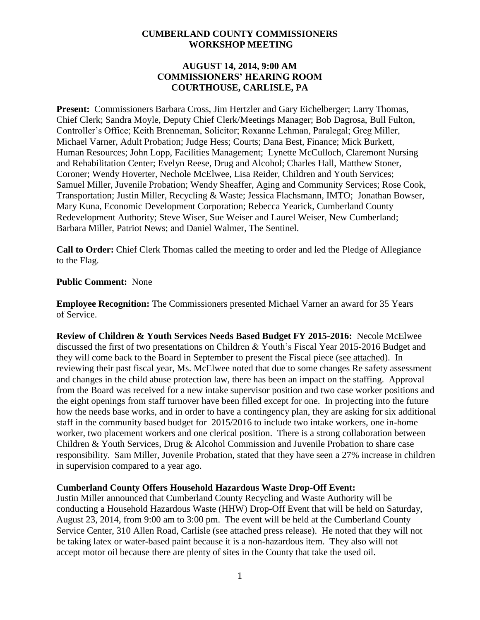#### **CUMBERLAND COUNTY COMMISSIONERS WORKSHOP MEETING**

#### **AUGUST 14, 2014, 9:00 AM COMMISSIONERS' HEARING ROOM COURTHOUSE, CARLISLE, PA**

**Present:** Commissioners Barbara Cross, Jim Hertzler and Gary Eichelberger; Larry Thomas, Chief Clerk; Sandra Moyle, Deputy Chief Clerk/Meetings Manager; Bob Dagrosa, Bull Fulton, Controller's Office; Keith Brenneman, Solicitor; Roxanne Lehman, Paralegal; Greg Miller, Michael Varner, Adult Probation; Judge Hess; Courts; Dana Best, Finance; Mick Burkett, Human Resources; John Lopp, Facilities Management; Lynette McCulloch, Claremont Nursing and Rehabilitation Center; Evelyn Reese, Drug and Alcohol; Charles Hall, Matthew Stoner, Coroner; Wendy Hoverter, Nechole McElwee, Lisa Reider, Children and Youth Services; Samuel Miller, Juvenile Probation; Wendy Sheaffer, Aging and Community Services; Rose Cook, Transportation; Justin Miller, Recycling & Waste; Jessica Flachsmann, IMTO; Jonathan Bowser, Mary Kuna, Economic Development Corporation; Rebecca Yearick, Cumberland County Redevelopment Authority; Steve Wiser, Sue Weiser and Laurel Weiser, New Cumberland; Barbara Miller, Patriot News; and Daniel Walmer, The Sentinel.

**Call to Order:** Chief Clerk Thomas called the meeting to order and led the Pledge of Allegiance to the Flag.

#### **Public Comment:** None

**Employee Recognition:** The Commissioners presented Michael Varner an award for 35 Years of Service.

**Review of Children & Youth Services Needs Based Budget FY 2015-2016:** Necole McElwee discussed the first of two presentations on Children & Youth's Fiscal Year 2015-2016 Budget and they will come back to the Board in September to present the Fiscal piece (see attached). In reviewing their past fiscal year, Ms. McElwee noted that due to some changes Re safety assessment and changes in the child abuse protection law, there has been an impact on the staffing. Approval from the Board was received for a new intake supervisor position and two case worker positions and the eight openings from staff turnover have been filled except for one. In projecting into the future how the needs base works, and in order to have a contingency plan, they are asking for six additional staff in the community based budget for 2015/2016 to include two intake workers, one in-home worker, two placement workers and one clerical position. There is a strong collaboration between Children & Youth Services, Drug & Alcohol Commission and Juvenile Probation to share case responsibility. Sam Miller, Juvenile Probation, stated that they have seen a 27% increase in children in supervision compared to a year ago.

#### **Cumberland County Offers Household Hazardous Waste Drop-Off Event:**

Justin Miller announced that Cumberland County Recycling and Waste Authority will be conducting a Household Hazardous Waste (HHW) Drop-Off Event that will be held on Saturday, August 23, 2014, from 9:00 am to 3:00 pm. The event will be held at the Cumberland County Service Center, 310 Allen Road, Carlisle (see attached press release). He noted that they will not be taking latex or water-based paint because it is a non-hazardous item. They also will not accept motor oil because there are plenty of sites in the County that take the used oil.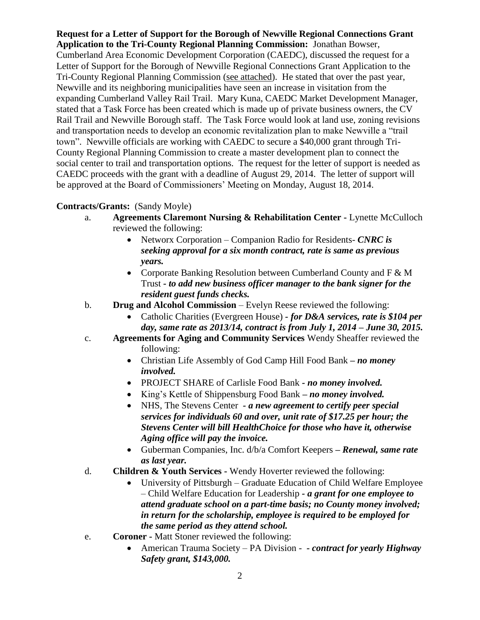**Request for a Letter of Support for the Borough of Newville Regional Connections Grant Application to the Tri-County Regional Planning Commission:** Jonathan Bowser, Cumberland Area Economic Development Corporation (CAEDC), discussed the request for a Letter of Support for the Borough of Newville Regional Connections Grant Application to the Tri-County Regional Planning Commission (see attached). He stated that over the past year, Newville and its neighboring municipalities have seen an increase in visitation from the expanding Cumberland Valley Rail Trail. Mary Kuna, CAEDC Market Development Manager, stated that a Task Force has been created which is made up of private business owners, the CV Rail Trail and Newville Borough staff. The Task Force would look at land use, zoning revisions and transportation needs to develop an economic revitalization plan to make Newville a "trail town". Newville officials are working with CAEDC to secure a \$40,000 grant through Tri-County Regional Planning Commission to create a master development plan to connect the social center to trail and transportation options. The request for the letter of support is needed as CAEDC proceeds with the grant with a deadline of August 29, 2014. The letter of support will be approved at the Board of Commissioners' Meeting on Monday, August 18, 2014.

# **Contracts/Grants:** (Sandy Moyle)

- a. **Agreements Claremont Nursing & Rehabilitation Center -** Lynette McCulloch reviewed the following:
	- Networx Corporation Companion Radio for Residents- *CNRC is seeking approval for a six month contract, rate is same as previous years.*
	- Corporate Banking Resolution between Cumberland County and F & M Trust *- to add new business officer manager to the bank signer for the resident guest funds checks.*
- b. **Drug and Alcohol Commission** Evelyn Reese reviewed the following:
	- Catholic Charities (Evergreen House) *- for D&A services, rate is \$104 per day, same rate as 2013/14, contract is from July 1, 2014 – June 30, 2015.*
- c. **Agreements for Aging and Community Services** Wendy Sheaffer reviewed the following:
	- Christian Life Assembly of God Camp Hill Food Bank *– no money involved.*
	- PROJECT SHARE of Carlisle Food Bank *- no money involved.*
	- King's Kettle of Shippensburg Food Bank *– no money involved.*
	- NHS, The Stevens Center *- a new agreement to certify peer special services for individuals 60 and over, unit rate of \$17.25 per hour; the Stevens Center will bill HealthChoice for those who have it, otherwise Aging office will pay the invoice.*
	- Guberman Companies, Inc. d/b/a Comfort Keepers *– Renewal, same rate as last year.*
- d. **Children & Youth Services -** Wendy Hoverter reviewed the following:
	- University of Pittsburgh Graduate Education of Child Welfare Employee – Child Welfare Education for Leadership *- a grant for one employee to attend graduate school on a part-time basis; no County money involved; in return for the scholarship, employee is required to be employed for the same period as they attend school.*
- e. **Coroner -** Matt Stoner reviewed the following:
	- American Trauma Society PA Division *- contract for yearly Highway Safety grant, \$143,000.*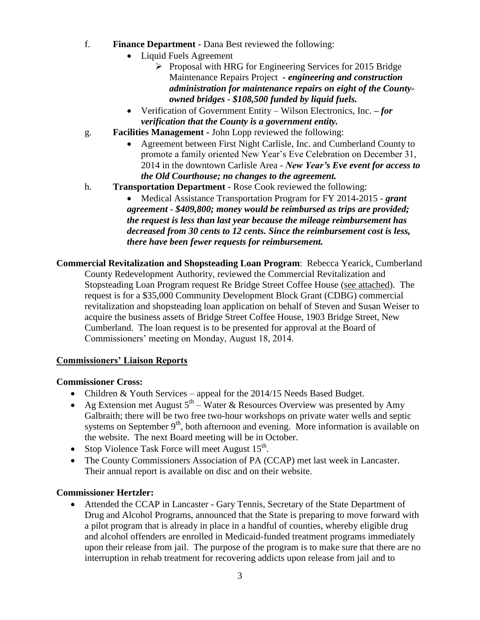- f. **Finance Department -** Dana Best reviewed the following:
	- Liquid Fuels Agreement
		- $\triangleright$  Proposal with HRG for Engineering Services for 2015 Bridge Maintenance Repairs Project *- engineering and construction administration for maintenance repairs on eight of the Countyowned bridges - \$108,500 funded by liquid fuels.*
	- Verification of Government Entity Wilson Electronics, Inc. *– for verification that the County is a government entity.*
- g. **Facilities Management -** John Lopp reviewed the following:
	- Agreement between First Night Carlisle, Inc. and Cumberland County to promote a family oriented New Year's Eve Celebration on December 31, 2014 in the downtown Carlisle Area - *New Year's Eve event for access to the Old Courthouse; no changes to the agreement.*
- h. **Transportation Department -** Rose Cook reviewed the following:
	- Medical Assistance Transportation Program for FY 2014-2015 *grant agreement - \$409,800; money would be reimbursed as trips are provided; the request is less than last year because the mileage reimbursement has decreased from 30 cents to 12 cents. Since the reimbursement cost is less, there have been fewer requests for reimbursement.*

**Commercial Revitalization and Shopsteading Loan Program**: Rebecca Yearick, Cumberland County Redevelopment Authority, reviewed the Commercial Revitalization and Stopsteading Loan Program request Re Bridge Street Coffee House (see attached). The request is for a \$35,000 Community Development Block Grant (CDBG) commercial revitalization and shopsteading loan application on behalf of Steven and Susan Weiser to acquire the business assets of Bridge Street Coffee House, 1903 Bridge Street, New Cumberland. The loan request is to be presented for approval at the Board of Commissioners' meeting on Monday, August 18, 2014.

# **Commissioners' Liaison Reports**

# **Commissioner Cross:**

- Children & Youth Services appeal for the 2014/15 Needs Based Budget.
- Ag Extension met August  $5<sup>th</sup>$  Water & Resources Overview was presented by Amy Galbraith; there will be two free two-hour workshops on private water wells and septic systems on September  $9<sup>th</sup>$ , both afternoon and evening. More information is available on the website. The next Board meeting will be in October.
- Stop Violence Task Force will meet August  $15^{th}$ .
- The County Commissioners Association of PA (CCAP) met last week in Lancaster. Their annual report is available on disc and on their website.

# **Commissioner Hertzler:**

 Attended the CCAP in Lancaster - Gary Tennis, Secretary of the State Department of Drug and Alcohol Programs, announced that the State is preparing to move forward with a pilot program that is already in place in a handful of counties, whereby eligible drug and alcohol offenders are enrolled in Medicaid-funded treatment programs immediately upon their release from jail. The purpose of the program is to make sure that there are no interruption in rehab treatment for recovering addicts upon release from jail and to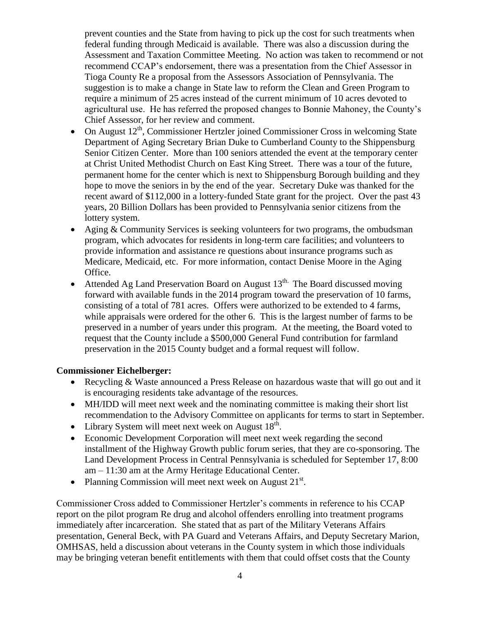prevent counties and the State from having to pick up the cost for such treatments when federal funding through Medicaid is available. There was also a discussion during the Assessment and Taxation Committee Meeting. No action was taken to recommend or not recommend CCAP's endorsement, there was a presentation from the Chief Assessor in Tioga County Re a proposal from the Assessors Association of Pennsylvania. The suggestion is to make a change in State law to reform the Clean and Green Program to require a minimum of 25 acres instead of the current minimum of 10 acres devoted to agricultural use. He has referred the proposed changes to Bonnie Mahoney, the County's Chief Assessor, for her review and comment.

- On August  $12<sup>th</sup>$ , Commissioner Hertzler joined Commissioner Cross in welcoming State Department of Aging Secretary Brian Duke to Cumberland County to the Shippensburg Senior Citizen Center. More than 100 seniors attended the event at the temporary center at Christ United Methodist Church on East King Street. There was a tour of the future, permanent home for the center which is next to Shippensburg Borough building and they hope to move the seniors in by the end of the year. Secretary Duke was thanked for the recent award of \$112,000 in a lottery-funded State grant for the project. Over the past 43 years, 20 Billion Dollars has been provided to Pennsylvania senior citizens from the lottery system.
- Aging & Community Services is seeking volunteers for two programs, the ombudsman program, which advocates for residents in long-term care facilities; and volunteers to provide information and assistance re questions about insurance programs such as Medicare, Medicaid, etc. For more information, contact Denise Moore in the Aging Office.
- Attended Ag Land Preservation Board on August  $13<sup>th</sup>$ . The Board discussed moving forward with available funds in the 2014 program toward the preservation of 10 farms, consisting of a total of 781 acres. Offers were authorized to be extended to 4 farms, while appraisals were ordered for the other 6. This is the largest number of farms to be preserved in a number of years under this program. At the meeting, the Board voted to request that the County include a \$500,000 General Fund contribution for farmland preservation in the 2015 County budget and a formal request will follow.

# **Commissioner Eichelberger:**

- Recycling & Waste announced a Press Release on hazardous waste that will go out and it is encouraging residents take advantage of the resources.
- MH/IDD will meet next week and the nominating committee is making their short list recommendation to the Advisory Committee on applicants for terms to start in September.
- Library System will meet next week on August  $18^{th}$ .
- Economic Development Corporation will meet next week regarding the second installment of the Highway Growth public forum series, that they are co-sponsoring. The Land Development Process in Central Pennsylvania is scheduled for September 17, 8:00 am – 11:30 am at the Army Heritage Educational Center.
- Planning Commission will meet next week on August  $21<sup>st</sup>$ .

Commissioner Cross added to Commissioner Hertzler's comments in reference to his CCAP report on the pilot program Re drug and alcohol offenders enrolling into treatment programs immediately after incarceration. She stated that as part of the Military Veterans Affairs presentation, General Beck, with PA Guard and Veterans Affairs, and Deputy Secretary Marion, OMHSAS, held a discussion about veterans in the County system in which those individuals may be bringing veteran benefit entitlements with them that could offset costs that the County